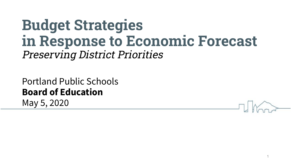# **Budget Strategies in Response to Economic Forecast** Preserving District Priorities

Portland Public Schools **Board of Education** May 5, 2020

1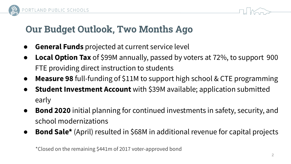



## **Our Budget Outlook, Two Months Ago**

- **General Funds** projected at current service level
- **Local Option Tax** of \$99M annually, passed by voters at 72%, to support 900 FTE providing direct instruction to students
- **Measure 98** full-funding of \$11M to support high school & CTE programming
- **Student Investment Account** with \$39M available; application submitted early
- **Bond 2020** initial planning for continued investments in safety, security, and school modernizations
- **Bond Sale\*** (April) resulted in \$68M in additional revenue for capital projects

\*Closed on the remaining \$441m of 2017 voter-approved bond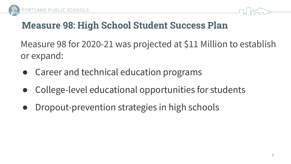



#### **Measure 98: High School Student Success Plan**

Measure 98 for 2020-21 was projected at \$11 Million to establish or expand:

- Career and technical education programs
- College-level educational opportunities for students
- Dropout-prevention strategies in high schools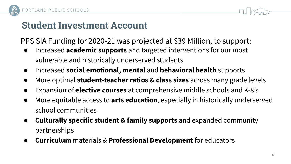



#### **Student Investment Account**

PPS SIA Funding for 2020-21 was projected at \$39 Million, to support:

- Increased **academic supports** and targeted interventions for our most vulnerable and historically underserved students
- Increased **social emotional, mental** and **behavioral health** supports
- More optimal **student-teacher ratios & class sizes** across many grade levels
- Expansion of **elective courses** at comprehensive middle schools and K-8's
- More equitable access to **arts education**, especially in historically underserved school communities
- **Culturally specific student & family supports** and expanded community partnerships
- **Curriculum** materials & **Professional Development** for educators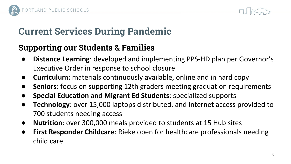



## **Current Services During Pandemic**

#### **Supporting our Students & Families**

- **Distance Learning:** developed and implementing PPS-HD plan per Governor's Executive Order in response to school closure
- **Curriculum:** materials continuously available, online and in hard copy
- **Seniors**: focus on supporting 12th graders meeting graduation requirements
- **Special Education** and **Migrant Ed Students**: specialized supports
- **Technology**: over 15,000 laptops distributed, and Internet access provided to 700 students needing access
- **Nutrition**: over 300,000 meals provided to students at 15 Hub sites
- **First Responder Childcare:** Rieke open for healthcare professionals needing child care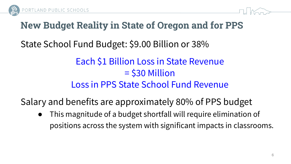



## **New Budget Reality in State of Oregon and for PPS**

State School Fund Budget: \$9.00 Billion or 38%

## Each \$1 Billion Loss in State Revenue = \$30 Million Loss in PPS State School Fund Revenue

Salary and benefits are approximately 80% of PPS budget

This magnitude of a budget shortfall will require elimination of positions across the system with significant impacts in classrooms.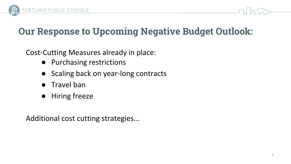



## **Our Response to Upcoming Negative Budget Outlook:**

Cost-Cutting Measures already in place:

- Purchasing restrictions
- Scaling back on year-long contracts
- Travel ban
- Hiring freeze

Additional cost cutting strategies...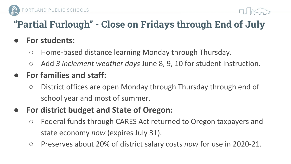

## **"Partial Furlough" - Close on Fridays through End of July**

#### **● For students:**

- Home-based distance learning Monday through Thursday.
- Add *3 inclement weather days* June 8, 9, 10 for student instruction.

#### **● For families and staff:**

○ District offices are open Monday through Thursday through end of school year and most of summer.

#### **● For district budget and State of Oregon:**

- Federal funds through CARES Act returned to Oregon taxpayers and state economy *now* (expires July 31).
- Preserves about 20% of district salary costs *now* for use in 2020-21.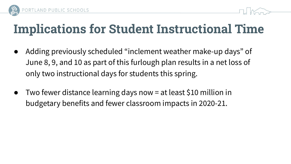



# **Implications for Student Instructional Time**

- Adding previously scheduled "inclement weather make-up days" of June 8, 9, and 10 as part of this furlough plan results in a net loss of only two instructional days for students this spring.
- Two fewer distance learning days now  $=$  at least \$10 million in budgetary benefits and fewer classroom impacts in 2020-21.